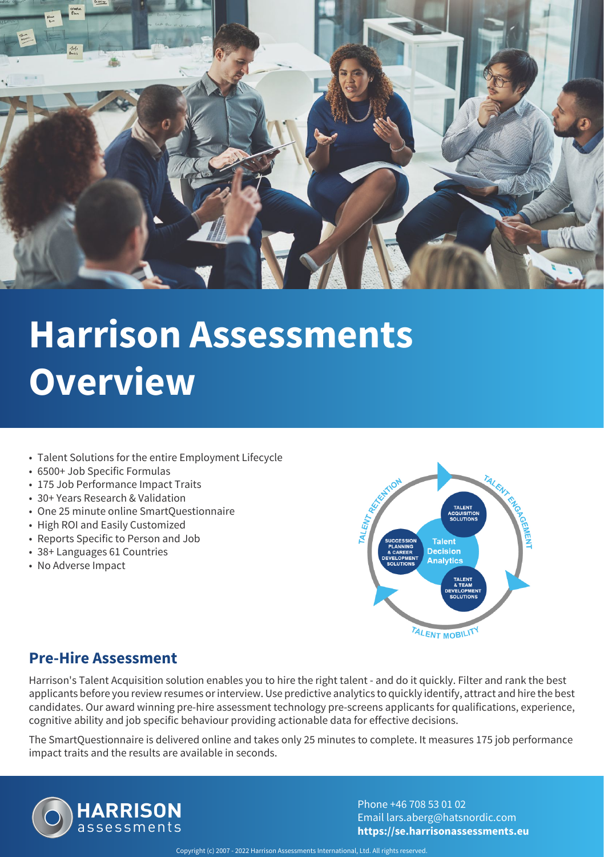

- Talent Solutions for the entire Employment Lifecycle
- 6500+ Job Specific Formulas
- 175 Job Performance Impact Traits
- 30+ Years Research & Validation
- One 25 minute online SmartQuestionnaire
- High ROI and Easily Customized
- Reports Specific to Person and Job
- 38+ Languages 61 Countries
- No Adverse Impact



#### **Pre-Hire Assessment**

Harrison's Talent Acquisition solution enables you to hire the right talent - and do it quickly. Filter and rank the best applicants before you review resumes or interview. Use predictive analytics to quickly identify, attract and hire the best candidates. Our award winning pre-hire assessment technology pre-screens applicants for qualifications, experience, cognitive ability and job specific behaviour providing actionable data for effective decisions.

The SmartQuestionnaire is delivered online and takes only 25 minutes to complete. It measures 175 job performance impact traits and the results are available in seconds.

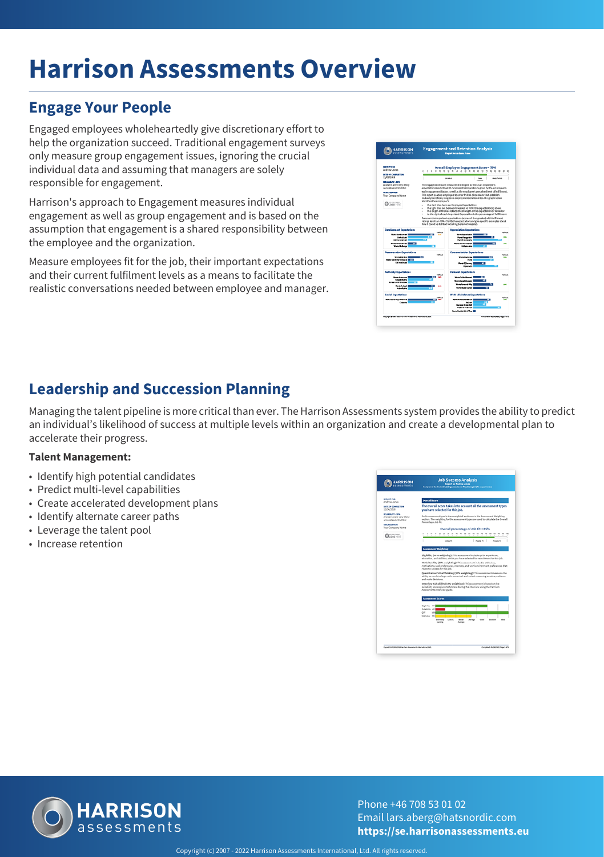## **Engage Your People**

Engaged employees wholeheartedly give discretionary effort to help the organization succeed. Traditional engagement surveys only measure group engagement issues, ignoring the crucial individual data and assuming that managers are solely responsible for engagement.

Harrison's approach to Engagement measures individual engagement as well as group engagement and is based on the assumption that engagement is a shared responsibility between the employee and the organization.

Measure employees fit for the job, their important expectations and their current fulfilment levels as a means to facilitate the realistic conversations needed between employee and manager.



## **Leadership and Succession Planning**

Managing the talent pipeline is more critical than ever. The Harrison Assessments system provides the ability to predict an individual's likelihood of success at multiple levels within an organization and create a developmental plan to accelerate their progress.

#### **Talent Management:**

- Identify high potential candidates
- Predict multi-level capabilities
- Create accelerated development plans
- Identify alternate career paths
- Leverage the talent pool
- Increase retention



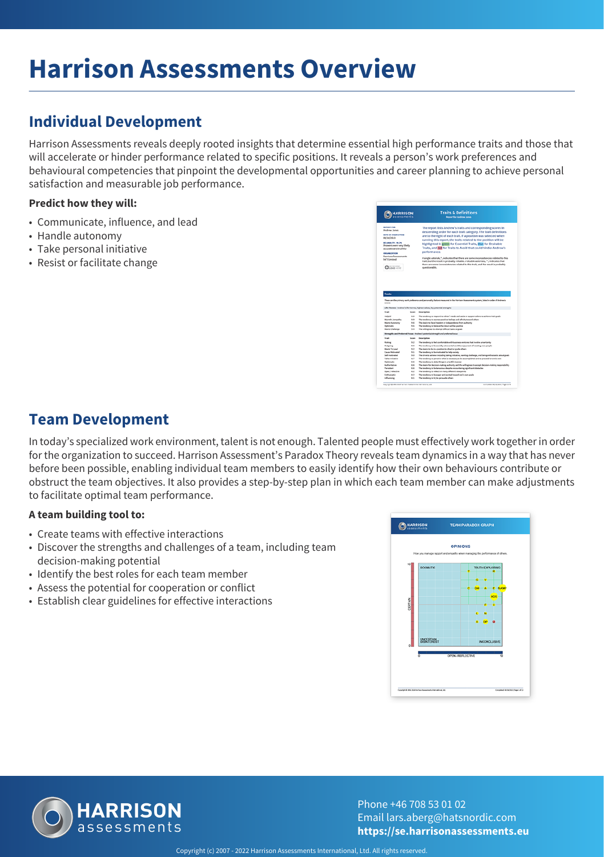## **Individual Development**

Harrison Assessments reveals deeply rooted insights that determine essential high performance traits and those that will accelerate or hinder performance related to specific positions. It reveals a person's work preferences and behavioural competencies that pinpoint the developmental opportunities and career planning to achieve personal satisfaction and measurable job performance.

#### **Predict how they will:**

- Communicate, influence, and lead
- Handle autonomy
- Take personal initiative
- Resist or facilitate change

| <b>REPORT FOR</b><br>Andrew Jones<br><b>BATE OF COMPLETION</b><br>09/16/2013<br>RELIABILITY - 99,3%<br>Answers were very likely.<br>accurate and truthful.<br>performance.<br><b>CROANEZATION</b><br><b>Harrison Assessments</b><br>Int'l Limited<br>$Q$ 1060 $-111$<br>questionable.<br><b>Traits</b><br>These are the primary early preference and personality factors measured in the Harrison Assessments system. Seted in order of Andrew's<br>access.<br>Life Themes - Andrew's life themes, highest values, key potential strengths<br>Trait<br>Several 1<br><b>Departure</b><br>Industrial<br>The tendency to respond to others' needs and assist or support others to achieve their goals<br>11<br>The tendency to assess positive befores and affinity toward others.<br>Marrett Jamesethe<br>53<br>66<br>The desire to have freedom or independence from authority<br><b>Marits Autonomy</b><br>Outlimistic<br>9.5<br>The tendency to believe the future will be positive<br><b>Wards Challenge</b><br>9.6<br>The willingness to attempt difficult tasks or goals<br>Strengths and Preferred Fecus - Andrew's potential strength and preferred focus |               |     | <b>Traits &amp; Definitions</b><br>Report for Andrew Jones                                                                                                                                                                                                                                                                                                                                                                                                                                                                                                                                                                                                                |
|-----------------------------------------------------------------------------------------------------------------------------------------------------------------------------------------------------------------------------------------------------------------------------------------------------------------------------------------------------------------------------------------------------------------------------------------------------------------------------------------------------------------------------------------------------------------------------------------------------------------------------------------------------------------------------------------------------------------------------------------------------------------------------------------------------------------------------------------------------------------------------------------------------------------------------------------------------------------------------------------------------------------------------------------------------------------------------------------------------------------------------------------------------------------|---------------|-----|---------------------------------------------------------------------------------------------------------------------------------------------------------------------------------------------------------------------------------------------------------------------------------------------------------------------------------------------------------------------------------------------------------------------------------------------------------------------------------------------------------------------------------------------------------------------------------------------------------------------------------------------------------------------------|
|                                                                                                                                                                                                                                                                                                                                                                                                                                                                                                                                                                                                                                                                                                                                                                                                                                                                                                                                                                                                                                                                                                                                                                 |               |     | The report lists Andrew's traits and corresponding scores in<br>descending order for each trait category. The trait definitions<br>are to the right of each trait. If a position was selected when<br>running this report, the traits related to the position will be<br>highlighted in green for Essential Traits, blue for Desirable<br>Traits, and red for Traits to Avoid that could hinder Andrew's<br>A single asterisk, ", indicates that there are some inconsistencies related to this<br>trait, but the result is probably reliable. A double asterisks, "", indicates that<br>there are some inconsistencies related to this trait, and the result is probably |
|                                                                                                                                                                                                                                                                                                                                                                                                                                                                                                                                                                                                                                                                                                                                                                                                                                                                                                                                                                                                                                                                                                                                                                 |               |     |                                                                                                                                                                                                                                                                                                                                                                                                                                                                                                                                                                                                                                                                           |
|                                                                                                                                                                                                                                                                                                                                                                                                                                                                                                                                                                                                                                                                                                                                                                                                                                                                                                                                                                                                                                                                                                                                                                 |               |     |                                                                                                                                                                                                                                                                                                                                                                                                                                                                                                                                                                                                                                                                           |
|                                                                                                                                                                                                                                                                                                                                                                                                                                                                                                                                                                                                                                                                                                                                                                                                                                                                                                                                                                                                                                                                                                                                                                 |               |     |                                                                                                                                                                                                                                                                                                                                                                                                                                                                                                                                                                                                                                                                           |
|                                                                                                                                                                                                                                                                                                                                                                                                                                                                                                                                                                                                                                                                                                                                                                                                                                                                                                                                                                                                                                                                                                                                                                 |               |     |                                                                                                                                                                                                                                                                                                                                                                                                                                                                                                                                                                                                                                                                           |
|                                                                                                                                                                                                                                                                                                                                                                                                                                                                                                                                                                                                                                                                                                                                                                                                                                                                                                                                                                                                                                                                                                                                                                 |               |     |                                                                                                                                                                                                                                                                                                                                                                                                                                                                                                                                                                                                                                                                           |
|                                                                                                                                                                                                                                                                                                                                                                                                                                                                                                                                                                                                                                                                                                                                                                                                                                                                                                                                                                                                                                                                                                                                                                 |               |     |                                                                                                                                                                                                                                                                                                                                                                                                                                                                                                                                                                                                                                                                           |
| Trait<br>Description<br><b>Score</b>                                                                                                                                                                                                                                                                                                                                                                                                                                                                                                                                                                                                                                                                                                                                                                                                                                                                                                                                                                                                                                                                                                                            |               |     |                                                                                                                                                                                                                                                                                                                                                                                                                                                                                                                                                                                                                                                                           |
| <b>Roking</b><br>6.2                                                                                                                                                                                                                                                                                                                                                                                                                                                                                                                                                                                                                                                                                                                                                                                                                                                                                                                                                                                                                                                                                                                                            |               |     | The tendency to feel comfortable with business ventures that involve uncertainty                                                                                                                                                                                                                                                                                                                                                                                                                                                                                                                                                                                          |
| Outgoing<br>5.2                                                                                                                                                                                                                                                                                                                                                                                                                                                                                                                                                                                                                                                                                                                                                                                                                                                                                                                                                                                                                                                                                                                                                 |               |     | The tendency to be socially extraouted and the enjoyment of meeting new people                                                                                                                                                                                                                                                                                                                                                                                                                                                                                                                                                                                            |
| 9.2<br>The desire to be in a position to direct or guide others<br><b>Wants To Lead</b>                                                                                                                                                                                                                                                                                                                                                                                                                                                                                                                                                                                                                                                                                                                                                                                                                                                                                                                                                                                                                                                                         |               |     |                                                                                                                                                                                                                                                                                                                                                                                                                                                                                                                                                                                                                                                                           |
| Cause McKyahad<br>The tendency to be motivated to help assisty<br>9.5                                                                                                                                                                                                                                                                                                                                                                                                                                                                                                                                                                                                                                                                                                                                                                                                                                                                                                                                                                                                                                                                                           |               |     |                                                                                                                                                                                                                                                                                                                                                                                                                                                                                                                                                                                                                                                                           |
| <b>Sail motivated</b><br>6.5                                                                                                                                                                                                                                                                                                                                                                                                                                                                                                                                                                                                                                                                                                                                                                                                                                                                                                                                                                                                                                                                                                                                    |               |     | The drive to achieve including taking initiative, wanting challenge, and being orthonizatic about goals.                                                                                                                                                                                                                                                                                                                                                                                                                                                                                                                                                                  |
| Takes trucketing<br>4.7                                                                                                                                                                                                                                                                                                                                                                                                                                                                                                                                                                                                                                                                                                                                                                                                                                                                                                                                                                                                                                                                                                                                         |               |     | The tendency to perceive what is necessary to be accomplished and to proceed on one's own                                                                                                                                                                                                                                                                                                                                                                                                                                                                                                                                                                                 |
| Diplomatic<br>$\mathbf{a}$<br>The tendency to state things in a terthal manner.                                                                                                                                                                                                                                                                                                                                                                                                                                                                                                                                                                                                                                                                                                                                                                                                                                                                                                                                                                                                                                                                                 |               |     |                                                                                                                                                                                                                                                                                                                                                                                                                                                                                                                                                                                                                                                                           |
|                                                                                                                                                                                                                                                                                                                                                                                                                                                                                                                                                                                                                                                                                                                                                                                                                                                                                                                                                                                                                                                                                                                                                                 | Authoritative | 4.6 | The desire for decision making authority and the willingness to accept decision making responsibility                                                                                                                                                                                                                                                                                                                                                                                                                                                                                                                                                                     |
|                                                                                                                                                                                                                                                                                                                                                                                                                                                                                                                                                                                                                                                                                                                                                                                                                                                                                                                                                                                                                                                                                                                                                                 |               |     |                                                                                                                                                                                                                                                                                                                                                                                                                                                                                                                                                                                                                                                                           |
| Persistent<br>$\sim$                                                                                                                                                                                                                                                                                                                                                                                                                                                                                                                                                                                                                                                                                                                                                                                                                                                                                                                                                                                                                                                                                                                                            |               |     |                                                                                                                                                                                                                                                                                                                                                                                                                                                                                                                                                                                                                                                                           |
| The tendency to be tenacious despite encountering applicant statistics                                                                                                                                                                                                                                                                                                                                                                                                                                                                                                                                                                                                                                                                                                                                                                                                                                                                                                                                                                                                                                                                                          |               |     |                                                                                                                                                                                                                                                                                                                                                                                                                                                                                                                                                                                                                                                                           |
| Open Freflection<br>6.2<br>The handsmay to reflect on many different signaturists.<br>Entrancesco<br>6.2<br>The tendency to be eager and excited toward one's own goals                                                                                                                                                                                                                                                                                                                                                                                                                                                                                                                                                                                                                                                                                                                                                                                                                                                                                                                                                                                         |               |     |                                                                                                                                                                                                                                                                                                                                                                                                                                                                                                                                                                                                                                                                           |

## **Team Development**

In today's specialized work environment, talent is not enough. Talented people must effectively work together in order for the organization to succeed. Harrison Assessment's Paradox Theory reveals team dynamics in a way that has never before been possible, enabling individual team members to easily identify how their own behaviours contribute or obstruct the team objectives. It also provides a step-by-step plan in which each team member can make adjustments to facilitate optimal team performance.

#### **A team building tool to:**

- Create teams with effective interactions
- Discover the strengths and challenges of a team, including team decision-making potential
- Identify the best roles for each team member
- Assess the potential for cooperation or conflict
- Establish clear guidelines for effective interactions



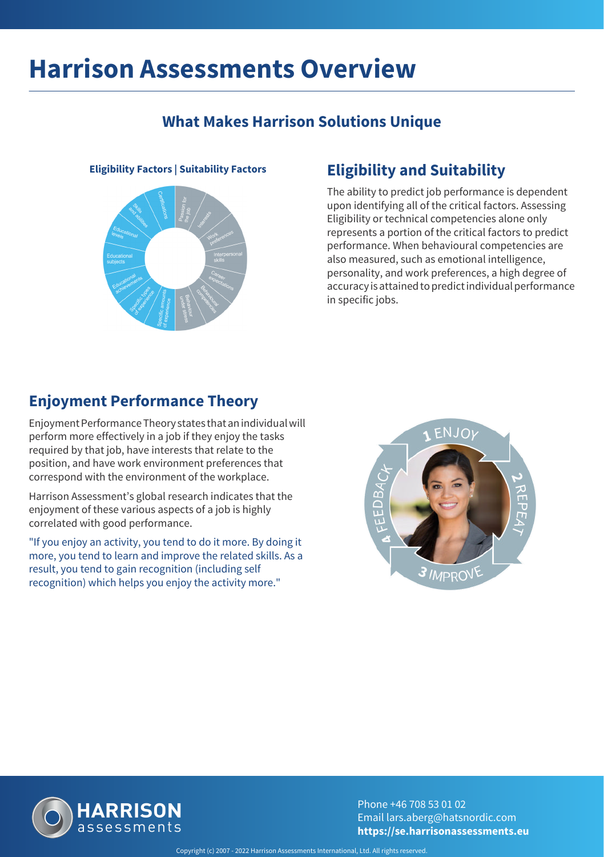## **What Makes Harrison Solutions Unique**



## **Eligibility Factors | Suitability Factors Eligibility and Suitability**

The ability to predict job performance is dependent upon identifying all of the critical factors. Assessing Eligibility or technical competencies alone only represents a portion of the critical factors to predict performance. When behavioural competencies are also measured, such as emotional intelligence, personality, and work preferences, a high degree of accuracy is attained to predict individual performance in specific jobs.

## **Enjoyment Performance Theory**

Enjoyment Performance Theory states that an individual will perform more effectively in a job if they enjoy the tasks required by that job, have interests that relate to the position, and have work environment preferences that correspond with the environment of the workplace.

Harrison Assessment's global research indicates that the enjoyment of these various aspects of a job is highly correlated with good performance.

"If you enjoy an activity, you tend to do it more. By doing it more, you tend to learn and improve the related skills. As a result, you tend to gain recognition (including self recognition) which helps you enjoy the activity more."